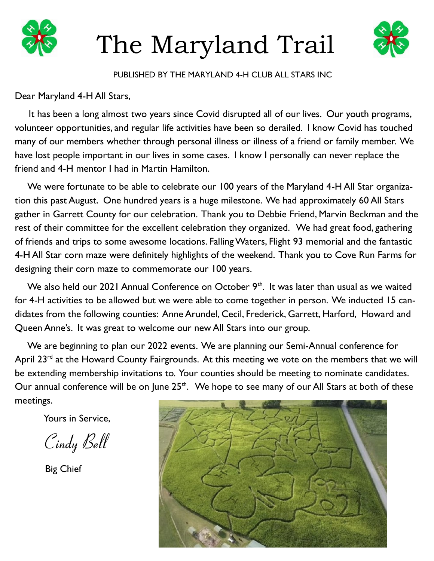

# The Maryland Trail



## PUBLISHED BY THE MARYLAND 4-H CLUB ALL STARS INC

# Dear Maryland 4-H All Stars,

 It has been a long almost two years since Covid disrupted all of our lives. Our youth programs, volunteer opportunities, and regular life activities have been so derailed. I know Covid has touched many of our members whether through personal illness or illness of a friend or family member. We have lost people important in our lives in some cases. I know I personally can never replace the friend and 4-H mentor I had in Martin Hamilton.

We were fortunate to be able to celebrate our 100 years of the Maryland 4-H All Star organization this past August. One hundred years is a huge milestone. We had approximately 60 All Stars gather in Garrett County for our celebration. Thank you to Debbie Friend, Marvin Beckman and the rest of their committee for the excellent celebration they organized. We had great food, gathering of friends and trips to some awesome locations. Falling Waters, Flight 93 memorial and the fantastic 4-H All Star corn maze were definitely highlights of the weekend. Thank you to Cove Run Farms for designing their corn maze to commemorate our 100 years.

We also held our 2021 Annual Conference on October  $9<sup>th</sup>$ . It was later than usual as we waited for 4-H activities to be allowed but we were able to come together in person. We inducted 15 candidates from the following counties: Anne Arundel, Cecil, Frederick, Garrett, Harford, Howard and Queen Anne's. It was great to welcome our new All Stars into our group.

 We are beginning to plan our 2022 events. We are planning our Semi-Annual conference for April  $23^{rd}$  at the Howard County Fairgrounds. At this meeting we vote on the members that we will be extending membership invitations to. Your counties should be meeting to nominate candidates. Our annual conference will be on June  $25<sup>th</sup>$ . We hope to see many of our All Stars at both of these meetings.

Yours in Service,

Cindy Bell

Big Chief

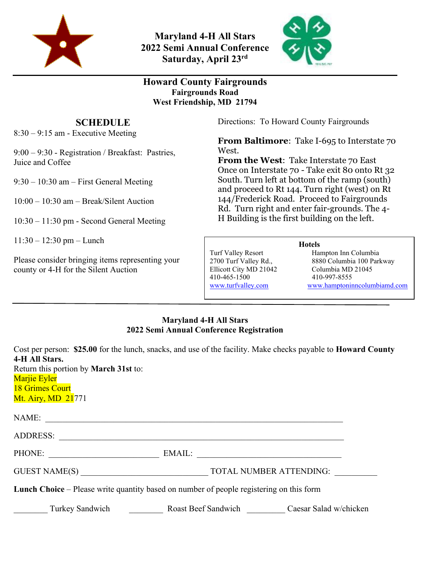

**Maryland 4-H All Stars 2022 Semi Annual Conference Saturday, April 23rd**



# **Howard County Fairgrounds Fairgrounds Road West Friendship, MD 21794**

# **SCHEDULE**

8:30 – 9:15 am - Executive Meeting

9:00 – 9:30 - Registration / Breakfast: Pastries, Juice and Coffee

9:30 – 10:30 am – First General Meeting

10:00 – 10:30 am – Break/Silent Auction

10:30 – 11:30 pm - Second General Meeting

11:30 – 12:30 pm – Lunch

Please consider bringing items representing your county or 4-H for the Silent Auction

Directions: To Howard County Fairgrounds

**From Baltimore**: Take I-695 to Interstate 70 West.

**From the West**: Take Interstate 70 East Once on Interstate 70 - Take exit 80 onto Rt 32 South. Turn left at bottom of the ramp (south) and proceed to Rt 144. Turn right (west) on Rt 144/Frederick Road. Proceed to Fairgrounds Rd. Turn right and enter fair-grounds. The 4- H Building is the first building on the left.

#### **Hotels**

Turf Valley Resort<br>
2700 Turf Valley Rd., 8880 Columbia 100 Parl 8880 Columbia 100 Parkway Ellicott City MD 21042 Columbia MD 21045 410-465-1500 410-997-8555 www.turfvalley.com www.hamptoninncolumbiamd.com

### **Maryland 4-H All Stars 2022 Semi Annual Conference Registration**

| 4-H All Stars.<br>Marjie Eyler<br><b>18 Grimes Court</b><br>Mt. Airy, MD 21771                 | Cost per person: \$25.00 for the lunch, snacks, and use of the facility. Make checks payable to <b>Howard County</b><br>Return this portion by March 31st to: |  |  |  |  |
|------------------------------------------------------------------------------------------------|---------------------------------------------------------------------------------------------------------------------------------------------------------------|--|--|--|--|
|                                                                                                | NAME:                                                                                                                                                         |  |  |  |  |
|                                                                                                |                                                                                                                                                               |  |  |  |  |
|                                                                                                | PHONE: EMAIL:                                                                                                                                                 |  |  |  |  |
|                                                                                                | GUEST NAME(S) TOTAL NUMBER ATTENDING:                                                                                                                         |  |  |  |  |
| <b>Lunch Choice</b> – Please write quantity based on number of people registering on this form |                                                                                                                                                               |  |  |  |  |
|                                                                                                | Turkey Sandwich Roast Beef Sandwich Caesar Salad w/chicken                                                                                                    |  |  |  |  |